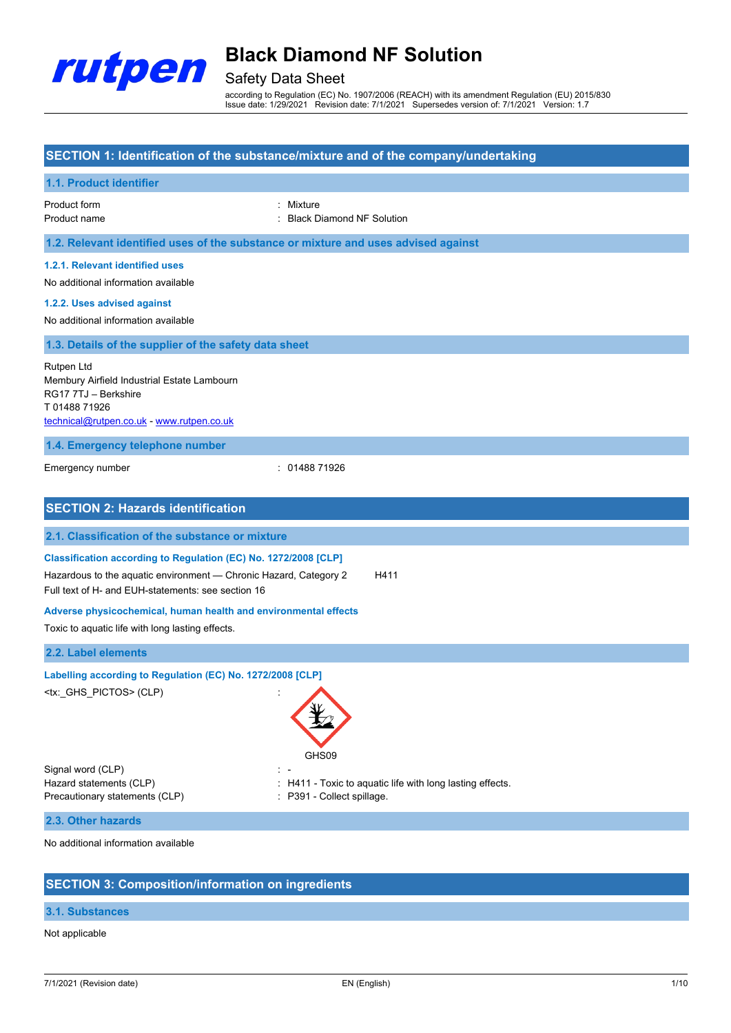

## Safety Data Sheet

according to Regulation (EC) No. 1907/2006 (REACH) with its amendment Regulation (EU) 2015/830 Issue date: 1/29/2021 Revision date: 7/1/2021 Supersedes version of: 7/1/2021 Version: 1.7

#### **SECTION 1: Identification of the substance/mixture and of the company/undertaking**

| 1.1. Product identifier                                                                                                                                                                    |                                                                                     |
|--------------------------------------------------------------------------------------------------------------------------------------------------------------------------------------------|-------------------------------------------------------------------------------------|
| Product form<br>Product name                                                                                                                                                               | Mixture<br><b>Black Diamond NF Solution</b>                                         |
| 1.2. Relevant identified uses of the substance or mixture and uses advised against                                                                                                         |                                                                                     |
| 1.2.1. Relevant identified uses<br>No additional information available                                                                                                                     |                                                                                     |
| 1.2.2. Uses advised against<br>No additional information available                                                                                                                         |                                                                                     |
| 1.3. Details of the supplier of the safety data sheet                                                                                                                                      |                                                                                     |
| Rutpen Ltd<br>Membury Airfield Industrial Estate Lambourn<br>RG17 7TJ - Berkshire<br>T0148871926<br>technical@rutpen.co.uk - www.rutpen.co.uk                                              |                                                                                     |
| 1.4. Emergency telephone number                                                                                                                                                            |                                                                                     |
| Emergency number                                                                                                                                                                           | : 0148871926                                                                        |
| <b>SECTION 2: Hazards identification</b>                                                                                                                                                   |                                                                                     |
| 2.1. Classification of the substance or mixture                                                                                                                                            |                                                                                     |
| Classification according to Regulation (EC) No. 1272/2008 [CLP]<br>Hazardous to the aquatic environment - Chronic Hazard, Category 2<br>Full text of H- and EUH-statements: see section 16 | H411                                                                                |
| Adverse physicochemical, human health and environmental effects<br>Toxic to aquatic life with long lasting effects.                                                                        |                                                                                     |
| 2.2. Label elements                                                                                                                                                                        |                                                                                     |
| Labelling according to Regulation (EC) No. 1272/2008 [CLP]<br><tx:_ghs_pictos>(CLP)</tx:_ghs_pictos>                                                                                       | z.<br>GHS09                                                                         |
| Signal word (CLP)<br>Hazard statements (CLP)<br>Precautionary statements (CLP)                                                                                                             | H411 - Toxic to aquatic life with long lasting effects.<br>P391 - Collect spillage. |
| 2.3. Other hazards                                                                                                                                                                         |                                                                                     |
| No additional information available                                                                                                                                                        |                                                                                     |

## **SECTION 3: Composition/information on ingredients**

### **3.1. Substances**

### Not applicable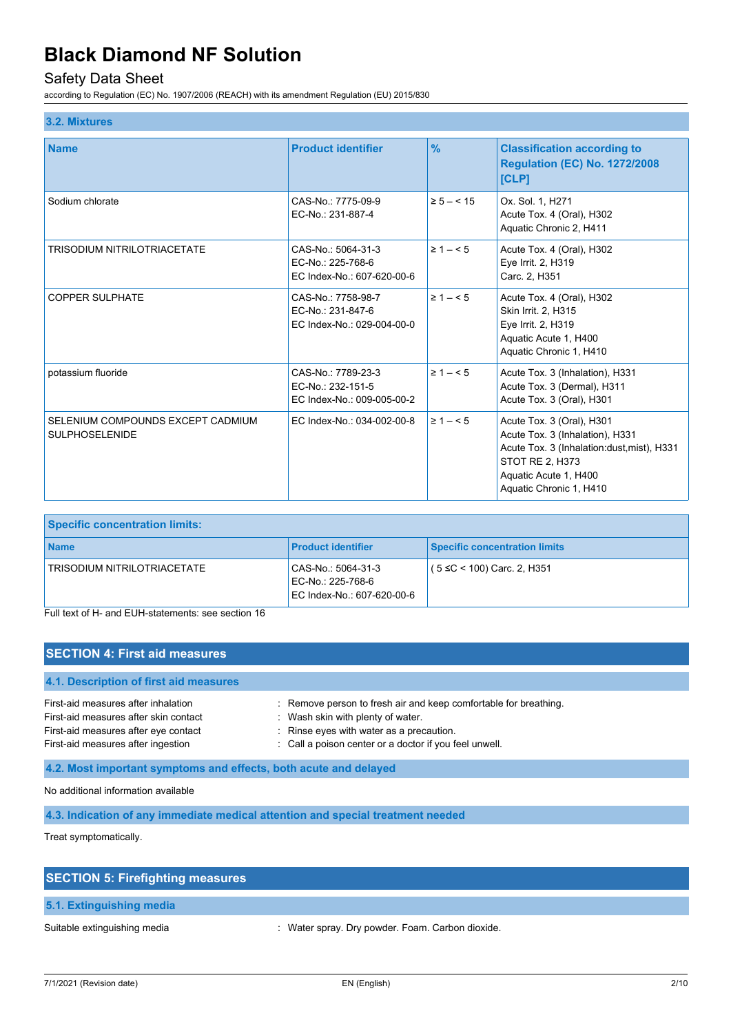## Safety Data Sheet

according to Regulation (EC) No. 1907/2006 (REACH) with its amendment Regulation (EU) 2015/830

#### **3.2. Mixtures**

| <b>Name</b>                                                | <b>Product identifier</b>                                             | $\frac{9}{6}$  | <b>Classification according to</b><br><b>Regulation (EC) No. 1272/2008</b><br>[CLP]                                                                                                |
|------------------------------------------------------------|-----------------------------------------------------------------------|----------------|------------------------------------------------------------------------------------------------------------------------------------------------------------------------------------|
| Sodium chlorate                                            | CAS-No.: 7775-09-9<br>EC-No.: 231-887-4                               | $\ge 5 - < 15$ | Ox. Sol. 1, H271<br>Acute Tox. 4 (Oral), H302<br>Aquatic Chronic 2, H411                                                                                                           |
| <b>TRISODIUM NITRILOTRIACETATE</b>                         | CAS-No.: 5064-31-3<br>EC-No.: 225-768-6<br>EC Index-No.: 607-620-00-6 | $\geq 1 - 5$   | Acute Tox. 4 (Oral), H302<br>Eye Irrit. 2, H319<br>Carc. 2, H351                                                                                                                   |
| <b>COPPER SULPHATE</b>                                     | CAS-No.: 7758-98-7<br>EC-No.: 231-847-6<br>EC Index-No.: 029-004-00-0 | $\geq 1 - 5$   | Acute Tox. 4 (Oral), H302<br>Skin Irrit. 2, H315<br>Eye Irrit. 2, H319<br>Aquatic Acute 1, H400<br>Aquatic Chronic 1, H410                                                         |
| potassium fluoride                                         | CAS-No.: 7789-23-3<br>EC-No.: 232-151-5<br>EC Index-No.: 009-005-00-2 | $\geq 1 - 5$   | Acute Tox. 3 (Inhalation), H331<br>Acute Tox. 3 (Dermal), H311<br>Acute Tox. 3 (Oral), H301                                                                                        |
| SELENIUM COMPOUNDS EXCEPT CADMIUM<br><b>SULPHOSELENIDE</b> | EC Index-No.: 034-002-00-8                                            | $\geq 1 - 5$   | Acute Tox. 3 (Oral), H301<br>Acute Tox. 3 (Inhalation), H331<br>Acute Tox. 3 (Inhalation: dust, mist), H331<br>STOT RE 2, H373<br>Aquatic Acute 1, H400<br>Aquatic Chronic 1, H410 |

| <b>Specific concentration limits:</b> |                                                                       |                               |
|---------------------------------------|-----------------------------------------------------------------------|-------------------------------|
| <b>Name</b>                           | <b>Product identifier</b>                                             | Specific concentration limits |
| TRISODIUM NITRILOTRIACETATE           | CAS-No.: 5064-31-3<br>EC-No.: 225-768-6<br>EC Index-No.: 607-620-00-6 | $(5 ≤ C < 100)$ Carc. 2, H351 |

Full text of H- and EUH-statements: see section 16

#### **SECTION 4: First aid measures**

### **4.1. Description of first aid measures**

| First-aid measures after inhalation<br>First-aid measures after skin contact<br>First-aid measures after eye contact<br>First-aid measures after ingestion | : Remove person to fresh air and keep comfortable for breathing.<br>Wash skin with plenty of water.<br>$\therefore$ Rinse eyes with water as a precaution.<br>: Call a poison center or a doctor if you feel unwell. |  |
|------------------------------------------------------------------------------------------------------------------------------------------------------------|----------------------------------------------------------------------------------------------------------------------------------------------------------------------------------------------------------------------|--|
|                                                                                                                                                            |                                                                                                                                                                                                                      |  |
| 4.2. Most important symptoms and effects, both acute and delayed                                                                                           |                                                                                                                                                                                                                      |  |

No additional information available

**4.3. Indication of any immediate medical attention and special treatment needed**

Treat symptomatically.

| <b>SECTION 5: Firefighting measures</b> |  |
|-----------------------------------------|--|
|                                         |  |
| 5.1. Extinguishing media                |  |

Suitable extinguishing media : Water spray. Dry powder. Foam. Carbon dioxide.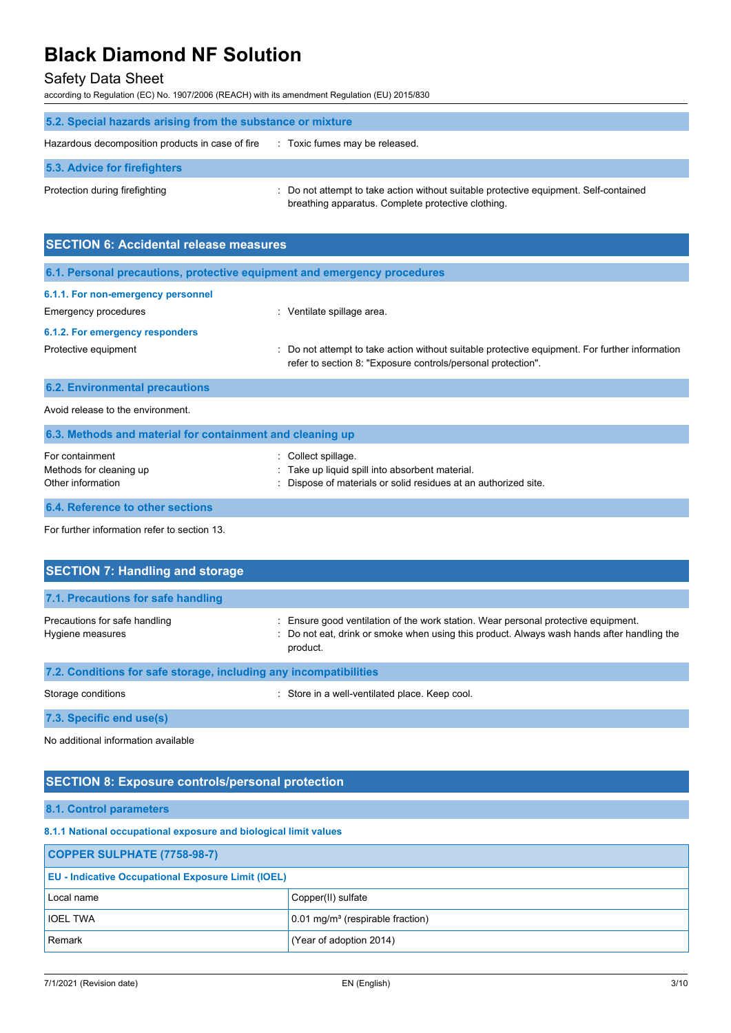## Safety Data Sheet

according to Regulation (EC) No. 1907/2006 (REACH) with its amendment Regulation (EU) 2015/830

| 5.2. Special hazards arising from the substance or mixture |                                                                                                                                             |  |
|------------------------------------------------------------|---------------------------------------------------------------------------------------------------------------------------------------------|--|
| Hazardous decomposition products in case of fire           | : Toxic fumes may be released.                                                                                                              |  |
| 5.3. Advice for firefighters                               |                                                                                                                                             |  |
| Protection during firefighting                             | : Do not attempt to take action without suitable protective equipment. Self-contained<br>breathing apparatus. Complete protective clothing. |  |

| <b>SECTION 6: Accidental release measures</b>                            |                                                                                                                                                                |  |  |
|--------------------------------------------------------------------------|----------------------------------------------------------------------------------------------------------------------------------------------------------------|--|--|
| 6.1. Personal precautions, protective equipment and emergency procedures |                                                                                                                                                                |  |  |
| 6.1.1. For non-emergency personnel                                       |                                                                                                                                                                |  |  |
| Emergency procedures                                                     | Ventilate spillage area.                                                                                                                                       |  |  |
| 6.1.2. For emergency responders                                          |                                                                                                                                                                |  |  |
| Protective equipment                                                     | : Do not attempt to take action without suitable protective equipment. For further information<br>refer to section 8: "Exposure controls/personal protection". |  |  |
| <b>6.2. Environmental precautions</b>                                    |                                                                                                                                                                |  |  |
| Avoid release to the environment                                         |                                                                                                                                                                |  |  |

| 6.3. Methods and material for containment and cleaning up       |                                                                                                                                       |  |
|-----------------------------------------------------------------|---------------------------------------------------------------------------------------------------------------------------------------|--|
| For containment<br>Methods for cleaning up<br>Other information | Collect spillage.<br>Take up liquid spill into absorbent material.<br>: Dispose of materials or solid residues at an authorized site. |  |
| <b>6.4. Reference to other sections</b>                         |                                                                                                                                       |  |

For further information refer to section 13.

| <b>SECTION 7: Handling and storage</b>                            |                                                                                                                                                                                            |  |
|-------------------------------------------------------------------|--------------------------------------------------------------------------------------------------------------------------------------------------------------------------------------------|--|
| 7.1. Precautions for safe handling                                |                                                                                                                                                                                            |  |
| Precautions for safe handling<br>Hygiene measures                 | Ensure good ventilation of the work station. Wear personal protective equipment.<br>: Do not eat, drink or smoke when using this product. Always wash hands after handling the<br>product. |  |
| 7.2. Conditions for safe storage, including any incompatibilities |                                                                                                                                                                                            |  |
| Storage conditions                                                | Store in a well-ventilated place. Keep cool.                                                                                                                                               |  |

**7.3. Specific end use(s)**

No additional information available

### **SECTION 8: Exposure controls/personal protection**

#### **8.1. Control parameters**

#### **8.1.1 National occupational exposure and biological limit values**

| COPPER SULPHATE (7758-98-7)                               |                                                |  |
|-----------------------------------------------------------|------------------------------------------------|--|
| <b>EU - Indicative Occupational Exposure Limit (IOEL)</b> |                                                |  |
| Local name                                                | Copper(II) sulfate                             |  |
| <b>IOEL TWA</b>                                           | $0.01$ mg/m <sup>3</sup> (respirable fraction) |  |
| Remark                                                    | (Year of adoption 2014)                        |  |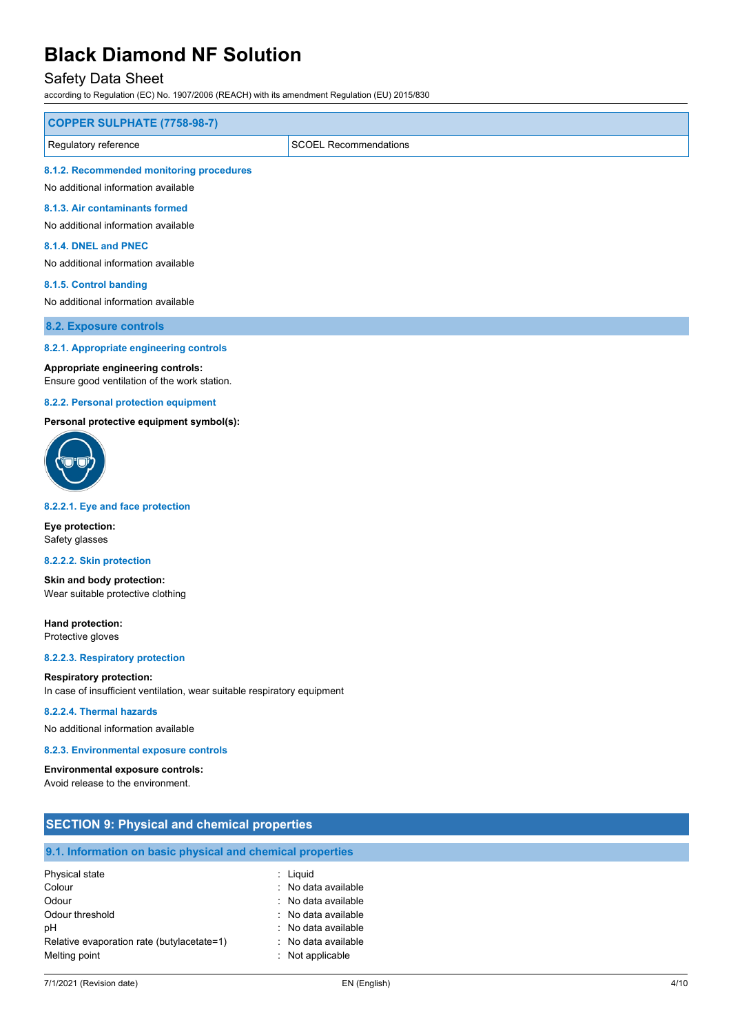### Safety Data Sheet

according to Regulation (EC) No. 1907/2006 (REACH) with its amendment Regulation (EU) 2015/830

| COPPER SULPHATE (7758-98-7)                                                     |  |
|---------------------------------------------------------------------------------|--|
| Regulatory reference<br><b>SCOEL Recommendations</b>                            |  |
| 8.1.2. Recommended monitoring procedures<br>No additional information available |  |

**8.1.3. Air contaminants formed**

No additional information available

#### **8.1.4. DNEL and PNEC**

No additional information available

#### **8.1.5. Control banding**

No additional information available

**8.2. Exposure controls**

#### **8.2.1. Appropriate engineering controls**

#### **Appropriate engineering controls:**

Ensure good ventilation of the work station.

#### **8.2.2. Personal protection equipment**

**Personal protective equipment symbol(s):**



#### **8.2.2.1. Eye and face protection**

**Eye protection:** Safety glasses

#### **8.2.2.2. Skin protection**

**Skin and body protection:** Wear suitable protective clothing

**Hand protection:** Protective gloves

**8.2.2.3. Respiratory protection**

#### **Respiratory protection:**

In case of insufficient ventilation, wear suitable respiratory equipment

#### **8.2.2.4. Thermal hazards**

No additional information available

#### **8.2.3. Environmental exposure controls**

**Environmental exposure controls:** Avoid release to the environment.

| <b>SECTION 9: Physical and chemical properties</b>         |                     |  |
|------------------------------------------------------------|---------------------|--|
| 9.1. Information on basic physical and chemical properties |                     |  |
| Physical state                                             | $:$ Liquid          |  |
| Colour                                                     | : No data available |  |
| Odour                                                      | : No data available |  |
| Odour threshold                                            | : No data available |  |
| рH                                                         | . No data available |  |
| Relative evaporation rate (butylacetate=1)                 | : No data available |  |
| Melting point                                              | : Not applicable    |  |
|                                                            |                     |  |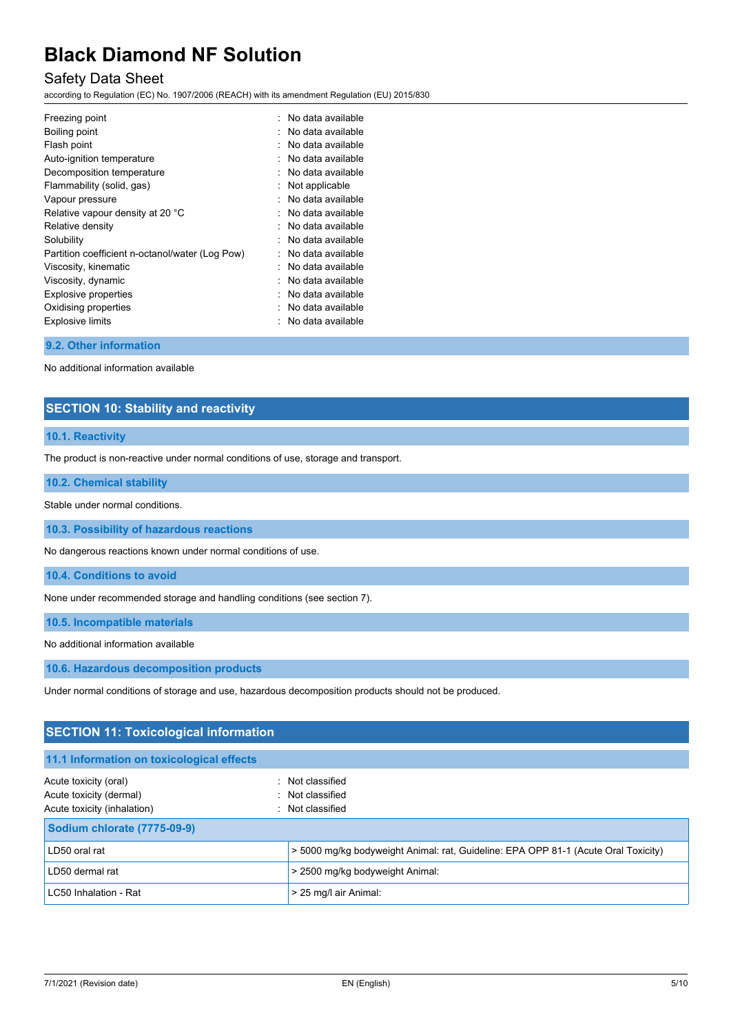## Safety Data Sheet

according to Regulation (EC) No. 1907/2006 (REACH) with its amendment Regulation (EU) 2015/830

| Freezing point                                  | $\therefore$ No data available |
|-------------------------------------------------|--------------------------------|
| Boiling point                                   | No data available              |
| Flash point                                     | No data available              |
| Auto-ignition temperature                       | No data available              |
| Decomposition temperature                       | No data available              |
| Flammability (solid, gas)                       | Not applicable                 |
| Vapour pressure                                 | No data available              |
| Relative vapour density at 20 °C                | No data available              |
| Relative density                                | No data available              |
| Solubility                                      | No data available              |
| Partition coefficient n-octanol/water (Log Pow) | No data available              |
| Viscosity, kinematic                            | No data available              |
| Viscosity, dynamic                              | No data available              |
| Explosive properties                            | No data available              |
| Oxidising properties                            | No data available              |
| <b>Explosive limits</b>                         | No data available              |
|                                                 |                                |

#### **9.2. Other information**

No additional information available

### **SECTION 10: Stability and reactivity**

#### **10.1. Reactivity**

The product is non-reactive under normal conditions of use, storage and transport.

#### **10.2. Chemical stability**

Stable under normal conditions.

**10.3. Possibility of hazardous reactions**

No dangerous reactions known under normal conditions of use.

**10.4. Conditions to avoid**

None under recommended storage and handling conditions (see section 7).

**10.5. Incompatible materials**

No additional information available

**10.6. Hazardous decomposition products**

Under normal conditions of storage and use, hazardous decomposition products should not be produced.

| <b>SECTION 11: Toxicological information</b> |                                                                                    |
|----------------------------------------------|------------------------------------------------------------------------------------|
| 11.1 Information on toxicological effects    |                                                                                    |
| Acute toxicity (oral)                        | : Not classified                                                                   |
| Acute toxicity (dermal)                      | : Not classified                                                                   |
| Acute toxicity (inhalation)                  | : Not classified                                                                   |
| <b>Sodium chlorate (7775-09-9)</b>           |                                                                                    |
| LD50 oral rat                                | > 5000 mg/kg bodyweight Animal: rat, Guideline: EPA OPP 81-1 (Acute Oral Toxicity) |
| LD50 dermal rat                              | > 2500 mg/kg bodyweight Animal:                                                    |
| LC50 Inhalation - Rat                        | > 25 mg/l air Animal:                                                              |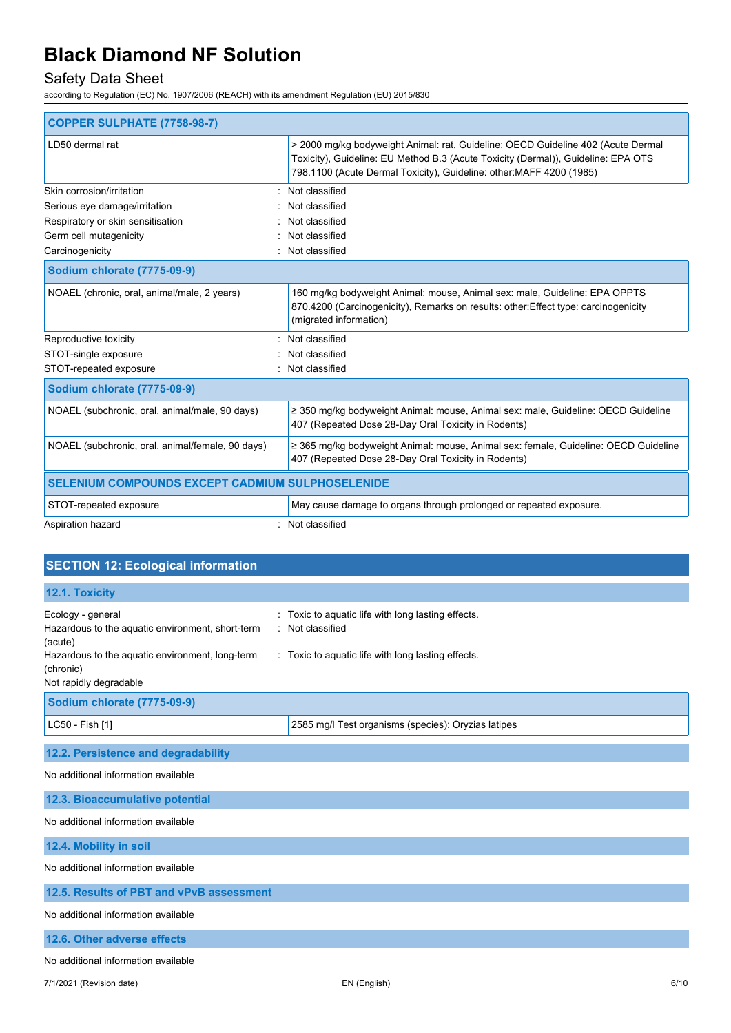## Safety Data Sheet

according to Regulation (EC) No. 1907/2006 (REACH) with its amendment Regulation (EU) 2015/830

| <b>COPPER SULPHATE (7758-98-7)</b>                      |                                                                                                                                                                                                                                               |
|---------------------------------------------------------|-----------------------------------------------------------------------------------------------------------------------------------------------------------------------------------------------------------------------------------------------|
| LD50 dermal rat                                         | > 2000 mg/kg bodyweight Animal: rat, Guideline: OECD Guideline 402 (Acute Dermal<br>Toxicity), Guideline: EU Method B.3 (Acute Toxicity (Dermal)), Guideline: EPA OTS<br>798.1100 (Acute Dermal Toxicity), Guideline: other: MAFF 4200 (1985) |
| Skin corrosion/irritation                               | Not classified                                                                                                                                                                                                                                |
| Serious eye damage/irritation                           | Not classified                                                                                                                                                                                                                                |
| Respiratory or skin sensitisation                       | Not classified                                                                                                                                                                                                                                |
| Germ cell mutagenicity                                  | Not classified                                                                                                                                                                                                                                |
| Carcinogenicity                                         | Not classified                                                                                                                                                                                                                                |
| Sodium chlorate (7775-09-9)                             |                                                                                                                                                                                                                                               |
| NOAEL (chronic, oral, animal/male, 2 years)             | 160 mg/kg bodyweight Animal: mouse, Animal sex: male, Guideline: EPA OPPTS<br>870.4200 (Carcinogenicity), Remarks on results: other: Effect type: carcinogenicity<br>(migrated information)                                                   |
| Reproductive toxicity                                   | : Not classified                                                                                                                                                                                                                              |
| STOT-single exposure                                    | Not classified                                                                                                                                                                                                                                |
| STOT-repeated exposure                                  | Not classified                                                                                                                                                                                                                                |
| <b>Sodium chlorate (7775-09-9)</b>                      |                                                                                                                                                                                                                                               |
| NOAEL (subchronic, oral, animal/male, 90 days)          | ≥ 350 mg/kg bodyweight Animal: mouse, Animal sex: male, Guideline: OECD Guideline<br>407 (Repeated Dose 28-Day Oral Toxicity in Rodents)                                                                                                      |
| NOAEL (subchronic, oral, animal/female, 90 days)        | ≥ 365 mg/kg bodyweight Animal: mouse, Animal sex: female, Guideline: OECD Guideline<br>407 (Repeated Dose 28-Day Oral Toxicity in Rodents)                                                                                                    |
| <b>SELENIUM COMPOUNDS EXCEPT CADMIUM SULPHOSELENIDE</b> |                                                                                                                                                                                                                                               |
| STOT-repeated exposure                                  | May cause damage to organs through prolonged or repeated exposure.                                                                                                                                                                            |
| Aspiration hazard                                       | Not classified                                                                                                                                                                                                                                |

| <b>SECTION 12: Ecological information</b>                                                                                                                                  |                                                                                                                            |  |
|----------------------------------------------------------------------------------------------------------------------------------------------------------------------------|----------------------------------------------------------------------------------------------------------------------------|--|
| 12.1. Toxicity                                                                                                                                                             |                                                                                                                            |  |
| Ecology - general<br>Hazardous to the aquatic environment, short-term<br>(acute)<br>Hazardous to the aquatic environment, long-term<br>(chronic)<br>Not rapidly degradable | Toxic to aquatic life with long lasting effects.<br>: Not classified<br>: Toxic to aquatic life with long lasting effects. |  |
| <b>Sodium chlorate (7775-09-9)</b>                                                                                                                                         |                                                                                                                            |  |
| LC50 - Fish [1]                                                                                                                                                            | 2585 mg/l Test organisms (species): Oryzias latipes                                                                        |  |
| 12.2. Persistence and degradability                                                                                                                                        |                                                                                                                            |  |
| No additional information available                                                                                                                                        |                                                                                                                            |  |
| 12.3. Bioaccumulative potential                                                                                                                                            |                                                                                                                            |  |
| No additional information available                                                                                                                                        |                                                                                                                            |  |
| 12.4. Mobility in soil                                                                                                                                                     |                                                                                                                            |  |
| No additional information available                                                                                                                                        |                                                                                                                            |  |
| 12.5. Results of PBT and vPvB assessment                                                                                                                                   |                                                                                                                            |  |
| No additional information available                                                                                                                                        |                                                                                                                            |  |
| 12.6. Other adverse effects                                                                                                                                                |                                                                                                                            |  |
| No additional information available                                                                                                                                        |                                                                                                                            |  |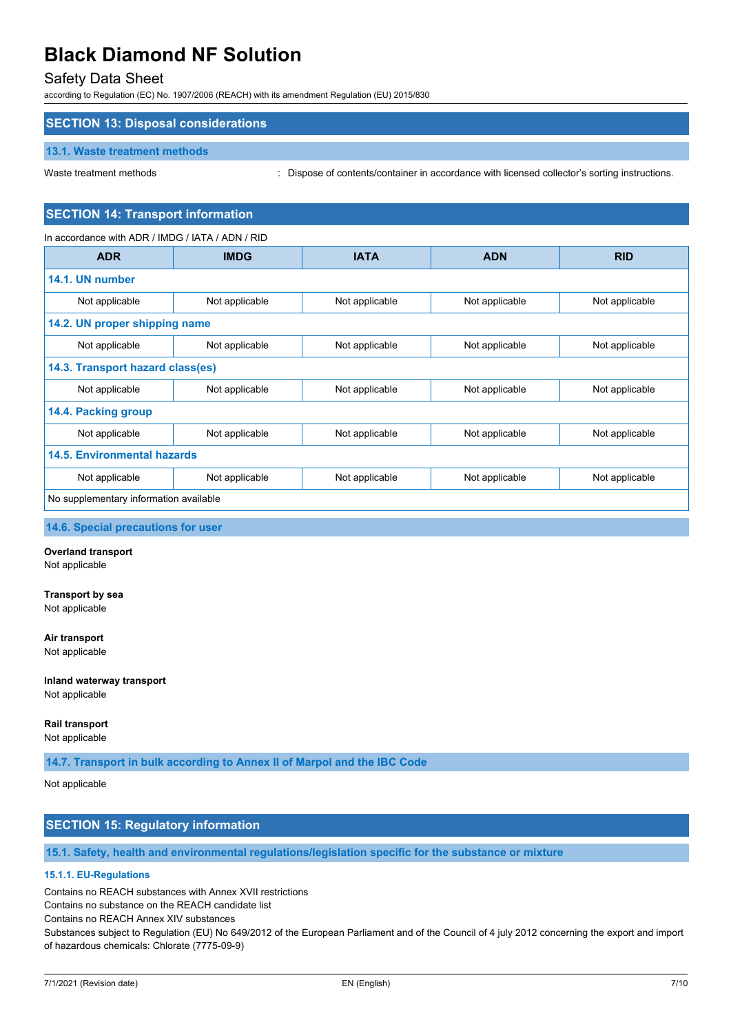### Safety Data Sheet

according to Regulation (EC) No. 1907/2006 (REACH) with its amendment Regulation (EU) 2015/830

### **SECTION 13: Disposal considerations**

#### **13.1. Waste treatment methods**

Waste treatment methods : Dispose of contents/container in accordance with licensed collector's sorting instructions.

#### **SECTION 14: Transport information**

| In accordance with ADR / IMDG / IATA / ADN / RID |                |                |                |                |
|--------------------------------------------------|----------------|----------------|----------------|----------------|
| <b>ADR</b>                                       | <b>IMDG</b>    | <b>IATA</b>    | <b>ADN</b>     | <b>RID</b>     |
| 14.1. UN number                                  |                |                |                |                |
| Not applicable                                   | Not applicable | Not applicable | Not applicable | Not applicable |
| 14.2. UN proper shipping name                    |                |                |                |                |
| Not applicable                                   | Not applicable | Not applicable | Not applicable | Not applicable |
| 14.3. Transport hazard class(es)                 |                |                |                |                |
| Not applicable                                   | Not applicable | Not applicable | Not applicable | Not applicable |
| 14.4. Packing group                              |                |                |                |                |
| Not applicable                                   | Not applicable | Not applicable | Not applicable | Not applicable |
| 14.5. Environmental hazards                      |                |                |                |                |
| Not applicable                                   | Not applicable | Not applicable | Not applicable | Not applicable |
| No supplementary information available           |                |                |                |                |

#### **14.6. Special precautions for user**

#### **Overland transport**

Not applicable

#### **Transport by sea**

Not applicable

#### **Air transport**

Not applicable

## **Inland waterway transport**

Not applicable

#### **Rail transport**

Not applicable

**14.7. Transport in bulk according to Annex II of Marpol and the IBC Code**

#### Not applicable

### **SECTION 15: Regulatory information**

**15.1. Safety, health and environmental regulations/legislation specific for the substance or mixture**

#### **15.1.1. EU-Regulations**

Contains no REACH substances with Annex XVII restrictions

Contains no substance on the REACH candidate list

Contains no REACH Annex XIV substances

Substances subject to Regulation (EU) No 649/2012 of the European Parliament and of the Council of 4 july 2012 concerning the export and import of hazardous chemicals: Chlorate (7775-09-9)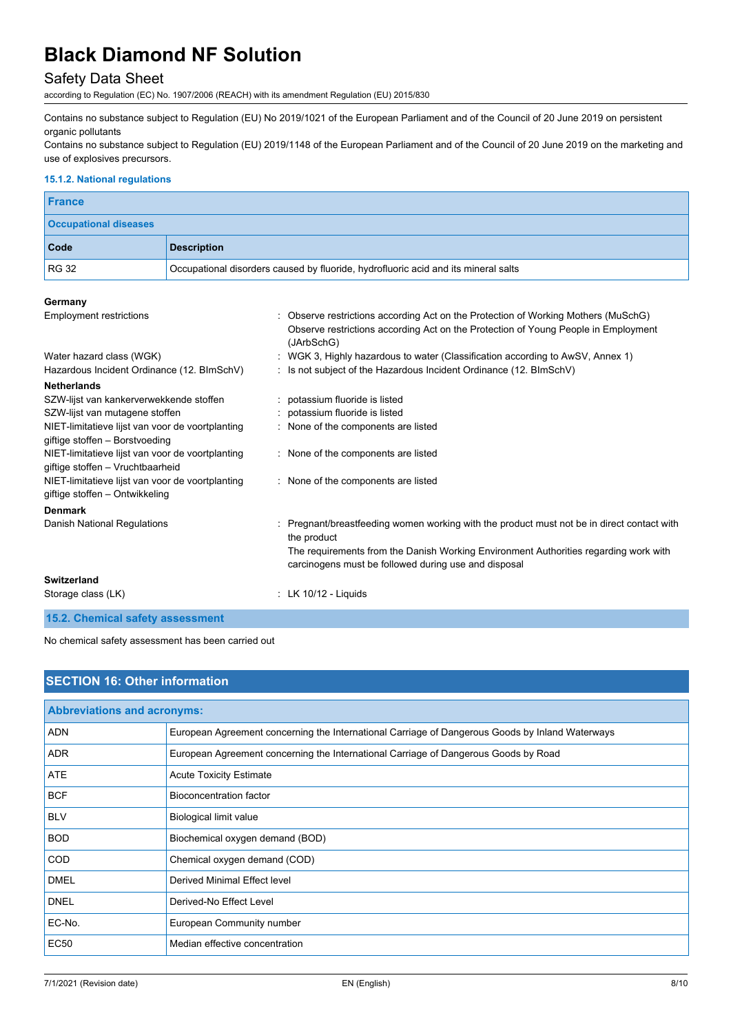## Safety Data Sheet

according to Regulation (EC) No. 1907/2006 (REACH) with its amendment Regulation (EU) 2015/830

Contains no substance subject to Regulation (EU) No 2019/1021 of the European Parliament and of the Council of 20 June 2019 on persistent organic pollutants

Contains no substance subject to Regulation (EU) 2019/1148 of the European Parliament and of the Council of 20 June 2019 on the marketing and use of explosives precursors.

#### **15.1.2. National regulations**

| France                       |                                                                                    |
|------------------------------|------------------------------------------------------------------------------------|
| <b>Occupational diseases</b> |                                                                                    |
| Code                         | <b>Description</b>                                                                 |
| <b>RG 32</b>                 | Occupational disorders caused by fluoride, hydrofluoric acid and its mineral salts |

#### **Germany**

| <b>Employment restrictions</b>                                                       | : Observe restrictions according Act on the Protection of Working Mothers (MuSchG)<br>Observe restrictions according Act on the Protection of Young People in Employment<br>(JArbSchG) |
|--------------------------------------------------------------------------------------|----------------------------------------------------------------------------------------------------------------------------------------------------------------------------------------|
| Water hazard class (WGK)                                                             | : WGK 3, Highly hazardous to water (Classification according to AwSV, Annex 1)                                                                                                         |
| Hazardous Incident Ordinance (12. BImSchV)                                           | : Is not subject of the Hazardous Incident Ordinance (12. BImSchV)                                                                                                                     |
| <b>Netherlands</b>                                                                   |                                                                                                                                                                                        |
| SZW-lijst van kankerverwekkende stoffen                                              | : potassium fluoride is listed                                                                                                                                                         |
| SZW-lijst van mutagene stoffen                                                       | : potassium fluoride is listed                                                                                                                                                         |
| NIET-limitatieve lijst van voor de voortplanting<br>giftige stoffen - Borstvoeding   | : None of the components are listed                                                                                                                                                    |
| NIET-limitatieve lijst van voor de voortplanting<br>giftige stoffen - Vruchtbaarheid | : None of the components are listed                                                                                                                                                    |
| NIET-limitatieve lijst van voor de voortplanting<br>giftige stoffen - Ontwikkeling   | : None of the components are listed                                                                                                                                                    |
| <b>Denmark</b>                                                                       |                                                                                                                                                                                        |
| Danish National Regulations                                                          | : Pregnant/breastfeeding women working with the product must not be in direct contact with<br>the product                                                                              |
|                                                                                      | The requirements from the Danish Working Environment Authorities regarding work with<br>carcinogens must be followed during use and disposal                                           |
| Switzerland                                                                          |                                                                                                                                                                                        |
| Storage class (LK)                                                                   | : LK $10/12$ - Liquids                                                                                                                                                                 |
| 15.2. Chemical safety assessment                                                     |                                                                                                                                                                                        |

### No chemical safety assessment has been carried out

| <b>SECTION 16: Other information</b> |                                                                                                 |  |
|--------------------------------------|-------------------------------------------------------------------------------------------------|--|
| <b>Abbreviations and acronyms:</b>   |                                                                                                 |  |
| <b>ADN</b>                           | European Agreement concerning the International Carriage of Dangerous Goods by Inland Waterways |  |
| <b>ADR</b>                           | European Agreement concerning the International Carriage of Dangerous Goods by Road             |  |
| <b>ATE</b>                           | <b>Acute Toxicity Estimate</b>                                                                  |  |
| <b>BCF</b>                           | Bioconcentration factor                                                                         |  |
| <b>BLV</b>                           | Biological limit value                                                                          |  |
| <b>BOD</b>                           | Biochemical oxygen demand (BOD)                                                                 |  |
| <b>COD</b>                           | Chemical oxygen demand (COD)                                                                    |  |
| <b>DMEL</b>                          | Derived Minimal Effect level                                                                    |  |
| <b>DNEL</b>                          | Derived-No Effect Level                                                                         |  |
| EC-No.                               | European Community number                                                                       |  |
| <b>EC50</b>                          | Median effective concentration                                                                  |  |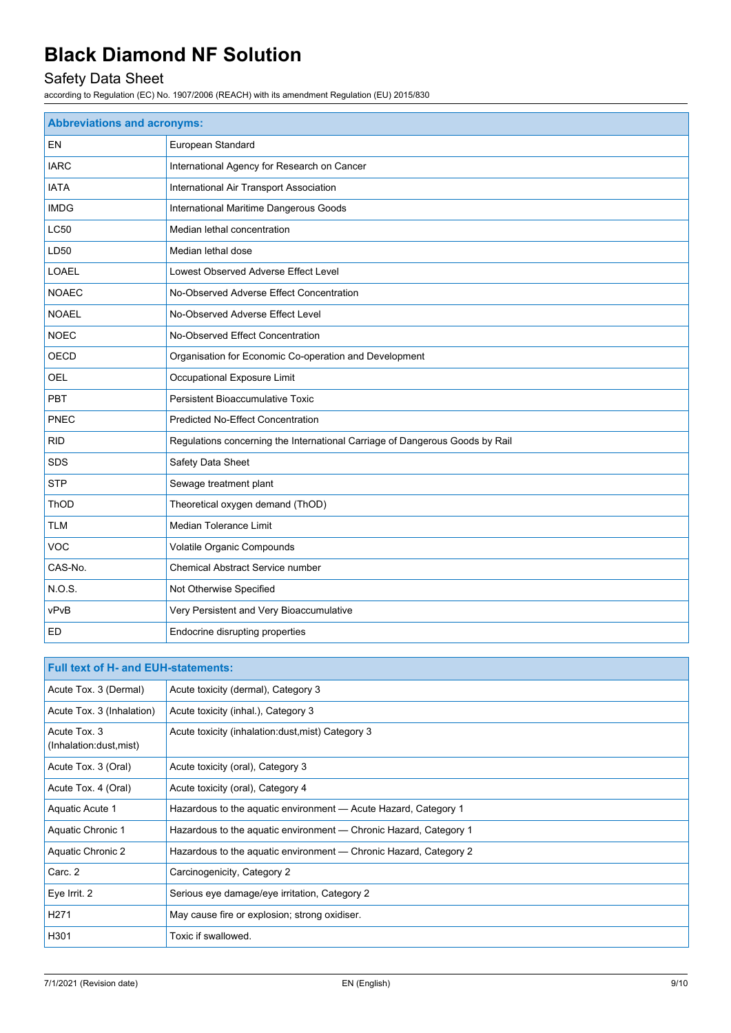## Safety Data Sheet

according to Regulation (EC) No. 1907/2006 (REACH) with its amendment Regulation (EU) 2015/830

| <b>Abbreviations and acronyms:</b> |                                                                              |  |
|------------------------------------|------------------------------------------------------------------------------|--|
| EN                                 | European Standard                                                            |  |
| <b>IARC</b>                        | International Agency for Research on Cancer                                  |  |
| <b>IATA</b>                        | International Air Transport Association                                      |  |
| <b>IMDG</b>                        | International Maritime Dangerous Goods                                       |  |
| <b>LC50</b>                        | Median lethal concentration                                                  |  |
| LD50                               | Median lethal dose                                                           |  |
| <b>LOAEL</b>                       | Lowest Observed Adverse Effect Level                                         |  |
| <b>NOAEC</b>                       | No-Observed Adverse Effect Concentration                                     |  |
| <b>NOAEL</b>                       | No-Observed Adverse Effect Level                                             |  |
| <b>NOEC</b>                        | No-Observed Effect Concentration                                             |  |
| OECD                               | Organisation for Economic Co-operation and Development                       |  |
| <b>OEL</b>                         | Occupational Exposure Limit                                                  |  |
| <b>PBT</b>                         | <b>Persistent Bioaccumulative Toxic</b>                                      |  |
| PNEC                               | Predicted No-Effect Concentration                                            |  |
| <b>RID</b>                         | Regulations concerning the International Carriage of Dangerous Goods by Rail |  |
| SDS                                | Safety Data Sheet                                                            |  |
| <b>STP</b>                         | Sewage treatment plant                                                       |  |
| ThOD                               | Theoretical oxygen demand (ThOD)                                             |  |
| <b>TLM</b>                         | <b>Median Tolerance Limit</b>                                                |  |
| <b>VOC</b>                         | Volatile Organic Compounds                                                   |  |
| CAS-No.                            | Chemical Abstract Service number                                             |  |
| N.O.S.                             | Not Otherwise Specified                                                      |  |
| vPvB                               | Very Persistent and Very Bioaccumulative                                     |  |
| <b>ED</b>                          | Endocrine disrupting properties                                              |  |

| <b>Full text of H- and EUH-statements:</b> |                                                                   |  |
|--------------------------------------------|-------------------------------------------------------------------|--|
| Acute Tox. 3 (Dermal)                      | Acute toxicity (dermal), Category 3                               |  |
| Acute Tox. 3 (Inhalation)                  | Acute toxicity (inhal.), Category 3                               |  |
| Acute Tox. 3<br>(Inhalation:dust, mist)    | Acute toxicity (inhalation:dust, mist) Category 3                 |  |
| Acute Tox. 3 (Oral)                        | Acute toxicity (oral), Category 3                                 |  |
| Acute Tox. 4 (Oral)                        | Acute toxicity (oral), Category 4                                 |  |
| Aquatic Acute 1                            | Hazardous to the aquatic environment - Acute Hazard, Category 1   |  |
| Aquatic Chronic 1                          | Hazardous to the aquatic environment - Chronic Hazard, Category 1 |  |
| Aquatic Chronic 2                          | Hazardous to the aquatic environment - Chronic Hazard, Category 2 |  |
| Carc. 2                                    | Carcinogenicity, Category 2                                       |  |
| Eye Irrit. 2                               | Serious eye damage/eye irritation, Category 2                     |  |
| H <sub>271</sub>                           | May cause fire or explosion; strong oxidiser.                     |  |
| H301                                       | Toxic if swallowed.                                               |  |